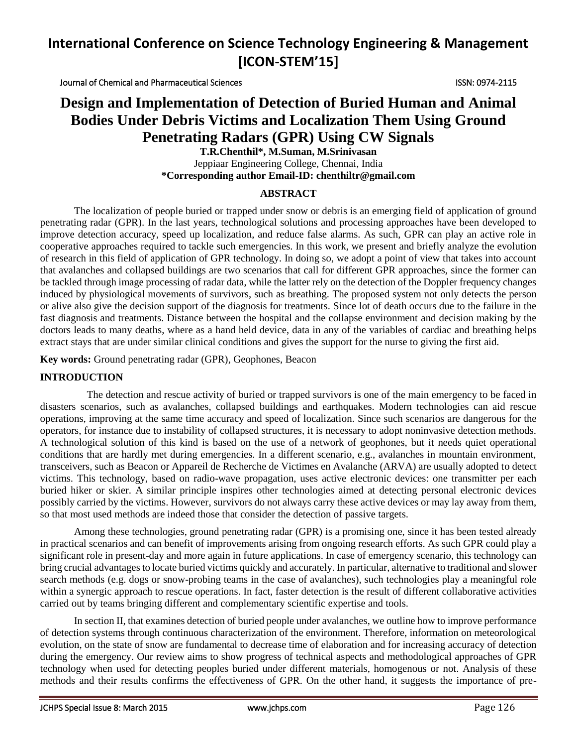Journal of Chemical and Pharmaceutical Sciences ISSN: 0974-2115

# **Design and Implementation of Detection of Buried Human and Animal Bodies Under Debris Victims and Localization Them Using Ground Penetrating Radars (GPR) Using CW Signals**

**T.R.Chenthil\*, M.Suman, M.Srinivasan** Jeppiaar Engineering College, Chennai, India **\*Corresponding author Email-ID: [chenthiltr@gmail.com](mailto:chenthiltr@gmail.com)**

## **ABSTRACT**

The localization of people buried or trapped under snow or debris is an emerging field of application of ground penetrating radar (GPR). In the last years, technological solutions and processing approaches have been developed to improve detection accuracy, speed up localization, and reduce false alarms. As such, GPR can play an active role in cooperative approaches required to tackle such emergencies. In this work, we present and briefly analyze the evolution of research in this field of application of GPR technology. In doing so, we adopt a point of view that takes into account that avalanches and collapsed buildings are two scenarios that call for different GPR approaches, since the former can be tackled through image processing of radar data, while the latter rely on the detection of the Doppler frequency changes induced by physiological movements of survivors, such as breathing. The proposed system not only detects the person or alive also give the decision support of the diagnosis for treatments. Since lot of death occurs due to the failure in the fast diagnosis and treatments. Distance between the hospital and the collapse environment and decision making by the doctors leads to many deaths, where as a hand held device, data in any of the variables of cardiac and breathing helps extract stays that are under similar clinical conditions and gives the support for the nurse to giving the first aid.

**Key words:** Ground penetrating radar (GPR), Geophones, Beacon

## **INTRODUCTION**

 The detection and rescue activity of buried or trapped survivors is one of the main emergency to be faced in disasters scenarios, such as avalanches, collapsed buildings and earthquakes. Modern technologies can aid rescue operations, improving at the same time accuracy and speed of localization. Since such scenarios are dangerous for the operators, for instance due to instability of collapsed structures, it is necessary to adopt noninvasive detection methods. A technological solution of this kind is based on the use of a network of geophones, but it needs quiet operational conditions that are hardly met during emergencies. In a different scenario, e.g., avalanches in mountain environment, transceivers, such as Beacon or Appareil de Recherche de Victimes en Avalanche (ARVA) are usually adopted to detect victims. This technology, based on radio-wave propagation, uses active electronic devices: one transmitter per each buried hiker or skier. A similar principle inspires other technologies aimed at detecting personal electronic devices possibly carried by the victims. However, survivors do not always carry these active devices or may lay away from them, so that most used methods are indeed those that consider the detection of passive targets.

Among these technologies, ground penetrating radar (GPR) is a promising one, since it has been tested already in practical scenarios and can benefit of improvements arising from ongoing research efforts. As such GPR could play a significant role in present-day and more again in future applications. In case of emergency scenario, this technology can bring crucial advantages to locate buried victims quickly and accurately. In particular, alternative to traditional and slower search methods (e.g. dogs or snow-probing teams in the case of avalanches), such technologies play a meaningful role within a synergic approach to rescue operations. In fact, faster detection is the result of different collaborative activities carried out by teams bringing different and complementary scientific expertise and tools.

In section II, that examines detection of buried people under avalanches, we outline how to improve performance of detection systems through continuous characterization of the environment. Therefore, information on meteorological evolution, on the state of snow are fundamental to decrease time of elaboration and for increasing accuracy of detection during the emergency. Our review aims to show progress of technical aspects and methodological approaches of GPR technology when used for detecting peoples buried under different materials, homogenous or not. Analysis of these methods and their results confirms the effectiveness of GPR. On the other hand, it suggests the importance of pre-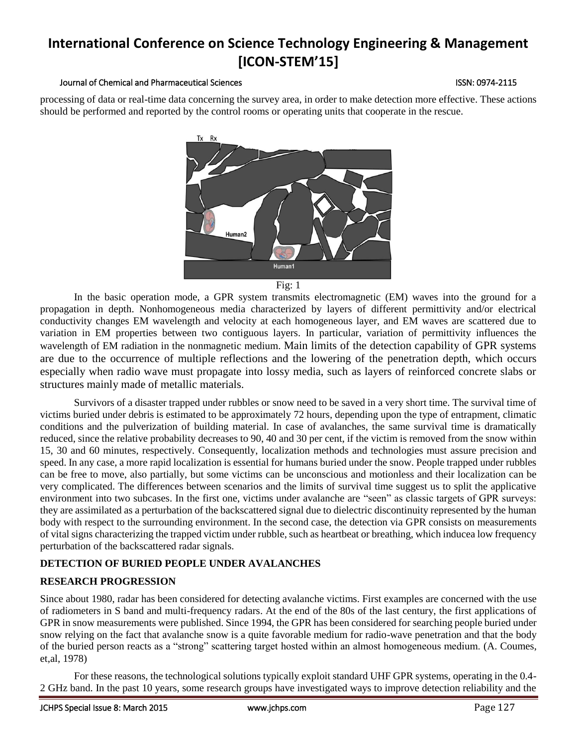#### Journal of Chemical and Pharmaceutical Sciences ISSN: 0974-2115

processing of data or real-time data concerning the survey area, in order to make detection more effective. These actions should be performed and reported by the control rooms or operating units that cooperate in the rescue.



Fig: 1

In the basic operation mode, a GPR system transmits electromagnetic (EM) waves into the ground for a propagation in depth. Nonhomogeneous media characterized by layers of different permittivity and/or electrical conductivity changes EM wavelength and velocity at each homogeneous layer, and EM waves are scattered due to variation in EM properties between two contiguous layers. In particular, variation of permittivity influences the wavelength of EM radiation in the nonmagnetic medium. Main limits of the detection capability of GPR systems are due to the occurrence of multiple reflections and the lowering of the penetration depth, which occurs especially when radio wave must propagate into lossy media, such as layers of reinforced concrete slabs or structures mainly made of metallic materials.

Survivors of a disaster trapped under rubbles or snow need to be saved in a very short time. The survival time of victims buried under debris is estimated to be approximately 72 hours, depending upon the type of entrapment, climatic conditions and the pulverization of building material. In case of avalanches, the same survival time is dramatically reduced, since the relative probability decreases to 90, 40 and 30 per cent, if the victim is removed from the snow within 15, 30 and 60 minutes, respectively. Consequently, localization methods and technologies must assure precision and speed. In any case, a more rapid localization is essential for humans buried under the snow. People trapped under rubbles can be free to move, also partially, but some victims can be unconscious and motionless and their localization can be very complicated. The differences between scenarios and the limits of survival time suggest us to split the applicative environment into two subcases. In the first one, victims under avalanche are "seen" as classic targets of GPR surveys: they are assimilated as a perturbation of the backscattered signal due to dielectric discontinuity represented by the human body with respect to the surrounding environment. In the second case, the detection via GPR consists on measurements of vital signs characterizing the trapped victim under rubble, such as heartbeat or breathing, which inducea low frequency perturbation of the backscattered radar signals.

# **DETECTION OF BURIED PEOPLE UNDER AVALANCHES**

## **RESEARCH PROGRESSION**

Since about 1980, radar has been considered for detecting avalanche victims. First examples are concerned with the use of radiometers in S band and multi-frequency radars. At the end of the 80s of the last century, the first applications of GPR in snow measurements were published. Since 1994, the GPR has been considered for searching people buried under snow relying on the fact that avalanche snow is a quite favorable medium for radio-wave penetration and that the body of the buried person reacts as a "strong" scattering target hosted within an almost homogeneous medium. (A. Coumes, et,al, 1978)

For these reasons, the technological solutions typically exploit standard UHF GPR systems, operating in the 0.4- 2 GHz band. In the past 10 years, some research groups have investigated ways to improve detection reliability and the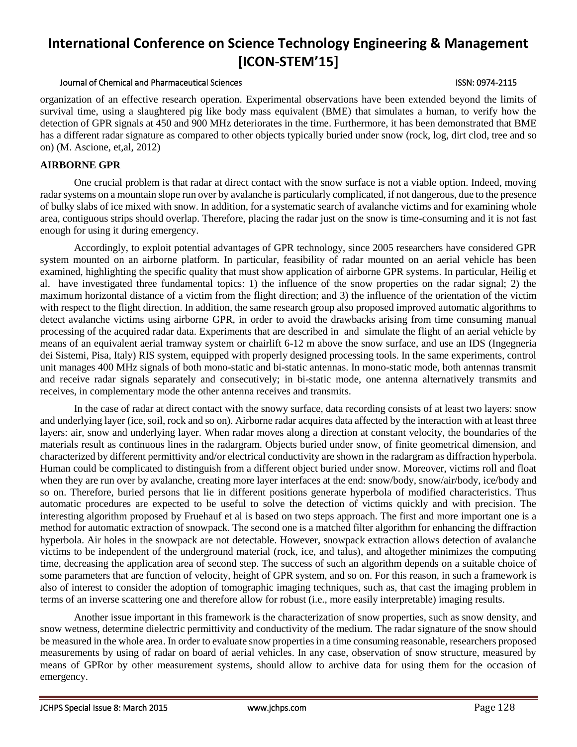#### Journal of Chemical and Pharmaceutical Sciences ISSN: 0974-2115

organization of an effective research operation. Experimental observations have been extended beyond the limits of survival time, using a slaughtered pig like body mass equivalent (BME) that simulates a human, to verify how the detection of GPR signals at 450 and 900 MHz deteriorates in the time. Furthermore, it has been demonstrated that BME has a different radar signature as compared to other objects typically buried under snow (rock, log, dirt clod, tree and so on) (M. Ascione, et,al, 2012)

### **AIRBORNE GPR**

One crucial problem is that radar at direct contact with the snow surface is not a viable option. Indeed, moving radar systems on a mountain slope run over by avalanche is particularly complicated, if not dangerous, due to the presence of bulky slabs of ice mixed with snow. In addition, for a systematic search of avalanche victims and for examining whole area, contiguous strips should overlap. Therefore, placing the radar just on the snow is time-consuming and it is not fast enough for using it during emergency.

Accordingly, to exploit potential advantages of GPR technology, since 2005 researchers have considered GPR system mounted on an airborne platform. In particular, feasibility of radar mounted on an aerial vehicle has been examined, highlighting the specific quality that must show application of airborne GPR systems. In particular, Heilig et al. have investigated three fundamental topics: 1) the influence of the snow properties on the radar signal; 2) the maximum horizontal distance of a victim from the flight direction; and 3) the influence of the orientation of the victim with respect to the flight direction. In addition, the same research group also proposed improved automatic algorithms to detect avalanche victims using airborne GPR, in order to avoid the drawbacks arising from time consuming manual processing of the acquired radar data. Experiments that are described in and simulate the flight of an aerial vehicle by means of an equivalent aerial tramway system or chairlift 6-12 m above the snow surface, and use an IDS (Ingegneria dei Sistemi, Pisa, Italy) RIS system, equipped with properly designed processing tools. In the same experiments, control unit manages 400 MHz signals of both mono-static and bi-static antennas. In mono-static mode, both antennas transmit and receive radar signals separately and consecutively; in bi-static mode, one antenna alternatively transmits and receives, in complementary mode the other antenna receives and transmits.

In the case of radar at direct contact with the snowy surface, data recording consists of at least two layers: snow and underlying layer (ice, soil, rock and so on). Airborne radar acquires data affected by the interaction with at least three layers: air, snow and underlying layer. When radar moves along a direction at constant velocity, the boundaries of the materials result as continuous lines in the radargram. Objects buried under snow, of finite geometrical dimension, and characterized by different permittivity and/or electrical conductivity are shown in the radargram as diffraction hyperbola. Human could be complicated to distinguish from a different object buried under snow. Moreover, victims roll and float when they are run over by avalanche, creating more layer interfaces at the end: snow/body, snow/air/body, ice/body and so on. Therefore, buried persons that lie in different positions generate hyperbola of modified characteristics. Thus automatic procedures are expected to be useful to solve the detection of victims quickly and with precision. The interesting algorithm proposed by Fruehauf et al is based on two steps approach. The first and more important one is a method for automatic extraction of snowpack. The second one is a matched filter algorithm for enhancing the diffraction hyperbola. Air holes in the snowpack are not detectable. However, snowpack extraction allows detection of avalanche victims to be independent of the underground material (rock, ice, and talus), and altogether minimizes the computing time, decreasing the application area of second step. The success of such an algorithm depends on a suitable choice of some parameters that are function of velocity, height of GPR system, and so on. For this reason, in such a framework is also of interest to consider the adoption of tomographic imaging techniques, such as, that cast the imaging problem in terms of an inverse scattering one and therefore allow for robust (i.e., more easily interpretable) imaging results.

Another issue important in this framework is the characterization of snow properties, such as snow density, and snow wetness, determine dielectric permittivity and conductivity of the medium. The radar signature of the snow should be measured in the whole area. In order to evaluate snow properties in a time consuming reasonable, researchers proposed measurements by using of radar on board of aerial vehicles. In any case, observation of snow structure, measured by means of GPRor by other measurement systems, should allow to archive data for using them for the occasion of emergency.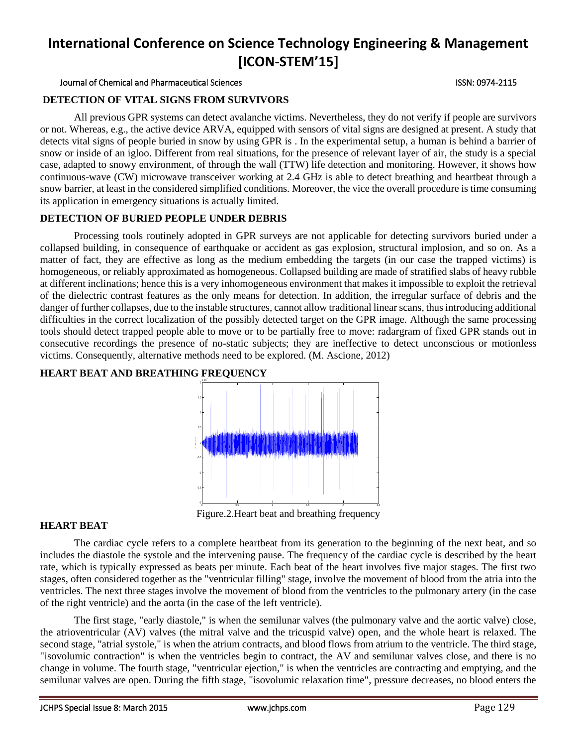Journal of Chemical and Pharmaceutical Sciences ISSN: 0974-2115

## **DETECTION OF VITAL SIGNS FROM SURVIVORS**

All previous GPR systems can detect avalanche victims. Nevertheless, they do not verify if people are survivors or not. Whereas, e.g., the active device ARVA, equipped with sensors of vital signs are designed at present. A study that detects vital signs of people buried in snow by using GPR is . In the experimental setup, a human is behind a barrier of snow or inside of an igloo. Different from real situations, for the presence of relevant layer of air, the study is a special case, adapted to snowy environment, of through the wall (TTW) life detection and monitoring. However, it shows how continuous-wave (CW) microwave transceiver working at 2.4 GHz is able to detect breathing and heartbeat through a snow barrier, at least in the considered simplified conditions. Moreover, the vice the overall procedure is time consuming its application in emergency situations is actually limited.

## **DETECTION OF BURIED PEOPLE UNDER DEBRIS**

Processing tools routinely adopted in GPR surveys are not applicable for detecting survivors buried under a collapsed building, in consequence of earthquake or accident as gas explosion, structural implosion, and so on. As a matter of fact, they are effective as long as the medium embedding the targets (in our case the trapped victims) is homogeneous, or reliably approximated as homogeneous. Collapsed building are made of stratified slabs of heavy rubble at different inclinations; hence this is a very inhomogeneous environment that makes it impossible to exploit the retrieval of the dielectric contrast features as the only means for detection. In addition, the irregular surface of debris and the danger of further collapses, due to the instable structures, cannot allow traditional linear scans, thus introducing additional difficulties in the correct localization of the possibly detected target on the GPR image. Although the same processing tools should detect trapped people able to move or to be partially free to move: radargram of fixed GPR stands out in consecutive recordings the presence of no-static subjects; they are ineffective to detect unconscious or motionless victims. Consequently, alternative methods need to be explored. (M. Ascione, 2012)



# **HEART BEAT AND BREATHING FREQUENCY**

### **HEART BEAT**

The cardiac cycle refers to a complete heartbeat from its generation to the beginning of the next beat, and so includes the diastole the systole and the intervening pause. The frequency of the cardiac cycle is described by the heart rate, which is typically expressed as beats per minute. Each beat of the heart involves five major stages. The first two stages, often considered together as the "ventricular filling" stage, involve the movement of blood from the atria into the ventricles. The next three stages involve the movement of blood from the ventricles to the pulmonary artery (in the case of the right ventricle) and the aorta (in the case of the left ventricle).

Figure.2. Heart beat and breathing frequency

The first stage, "early diastole," is when the semilunar valves (the pulmonary valve and the aortic valve) close, the atrioventricular (AV) valves (the mitral valve and the tricuspid valve) open, and the whole heart is relaxed. The second stage, "atrial systole," is when the atrium contracts, and blood flows from atrium to the ventricle. The third stage, "isovolumic contraction" is when the ventricles begin to contract, the AV and semilunar valves close, and there is no change in volume. The fourth stage, "ventricular ejection," is when the ventricles are contracting and emptying, and the semilunar valves are open. During the fifth stage, "isovolumic relaxation time", pressure decreases, no blood enters the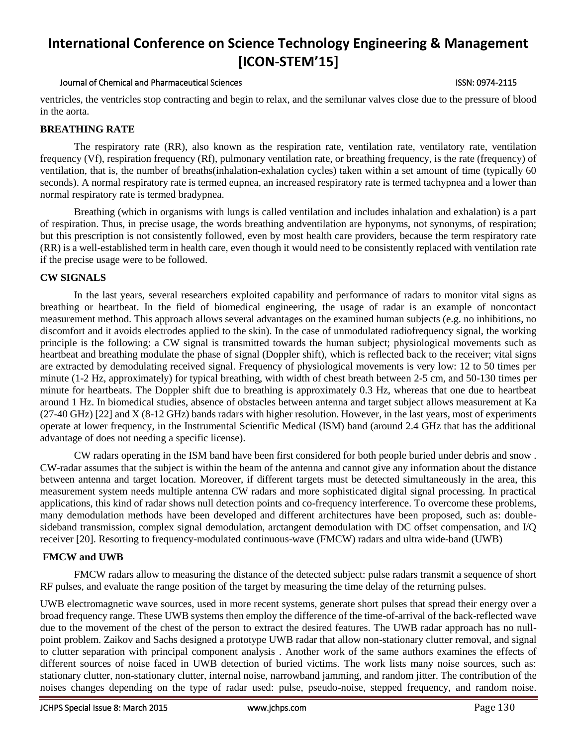#### Journal of Chemical and Pharmaceutical Sciences ISSN: 0974-2115

ventricles, the ventricles stop contracting and begin to relax, and the semilunar valves close due to the pressure of blood in the aorta.

## **BREATHING RATE**

The respiratory rate (RR), also known as the respiration rate, ventilation rate, ventilatory rate, ventilation frequency (Vf), respiration frequency (Rf), pulmonary ventilation rate, or breathing frequency, is the rate (frequency) of ventilation, that is, the number of breaths(inhalation-exhalation cycles) taken within a set amount of time (typically 60 seconds). A normal respiratory rate is termed eupnea, an increased respiratory rate is termed tachypnea and a lower than normal respiratory rate is termed bradypnea.

Breathing (which in organisms with lungs is called ventilation and includes inhalation and exhalation) is a part of respiration. Thus, in precise usage, the words breathing andventilation are hyponyms, not synonyms, of respiration; but this prescription is not consistently followed, even by most health care providers, because the term respiratory rate (RR) is a well-established term in health care, even though it would need to be consistently replaced with ventilation rate if the precise usage were to be followed.

## **CW SIGNALS**

In the last years, several researchers exploited capability and performance of radars to monitor vital signs as breathing or heartbeat. In the field of biomedical engineering, the usage of radar is an example of noncontact measurement method. This approach allows several advantages on the examined human subjects (e.g. no inhibitions, no discomfort and it avoids electrodes applied to the skin). In the case of unmodulated radiofrequency signal, the working principle is the following: a CW signal is transmitted towards the human subject; physiological movements such as heartbeat and breathing modulate the phase of signal (Doppler shift), which is reflected back to the receiver; vital signs are extracted by demodulating received signal. Frequency of physiological movements is very low: 12 to 50 times per minute (1-2 Hz, approximately) for typical breathing, with width of chest breath between 2-5 cm, and 50-130 times per minute for heartbeats. The Doppler shift due to breathing is approximately 0.3 Hz, whereas that one due to heartbeat around 1 Hz. In biomedical studies, absence of obstacles between antenna and target subject allows measurement at Ka (27-40 GHz) [22] and X (8-12 GHz) bands radars with higher resolution. However, in the last years, most of experiments operate at lower frequency, in the Instrumental Scientific Medical (ISM) band (around 2.4 GHz that has the additional advantage of does not needing a specific license).

CW radars operating in the ISM band have been first considered for both people buried under debris and snow . CW-radar assumes that the subject is within the beam of the antenna and cannot give any information about the distance between antenna and target location. Moreover, if different targets must be detected simultaneously in the area, this measurement system needs multiple antenna CW radars and more sophisticated digital signal processing. In practical applications, this kind of radar shows null detection points and co-frequency interference. To overcome these problems, many demodulation methods have been developed and different architectures have been proposed, such as: doublesideband transmission, complex signal demodulation, arctangent demodulation with DC offset compensation, and I/Q receiver [20]. Resorting to frequency-modulated continuous-wave (FMCW) radars and ultra wide-band (UWB)

### **FMCW and UWB**

FMCW radars allow to measuring the distance of the detected subject: pulse radars transmit a sequence of short RF pulses, and evaluate the range position of the target by measuring the time delay of the returning pulses.

UWB electromagnetic wave sources, used in more recent systems, generate short pulses that spread their energy over a broad frequency range. These UWB systems then employ the difference of the time-of-arrival of the back-reflected wave due to the movement of the chest of the person to extract the desired features. The UWB radar approach has no nullpoint problem. Zaikov and Sachs designed a prototype UWB radar that allow non-stationary clutter removal, and signal to clutter separation with principal component analysis . Another work of the same authors examines the effects of different sources of noise faced in UWB detection of buried victims. The work lists many noise sources, such as: stationary clutter, non-stationary clutter, internal noise, narrowband jamming, and random jitter. The contribution of the noises changes depending on the type of radar used: pulse, pseudo-noise, stepped frequency, and random noise.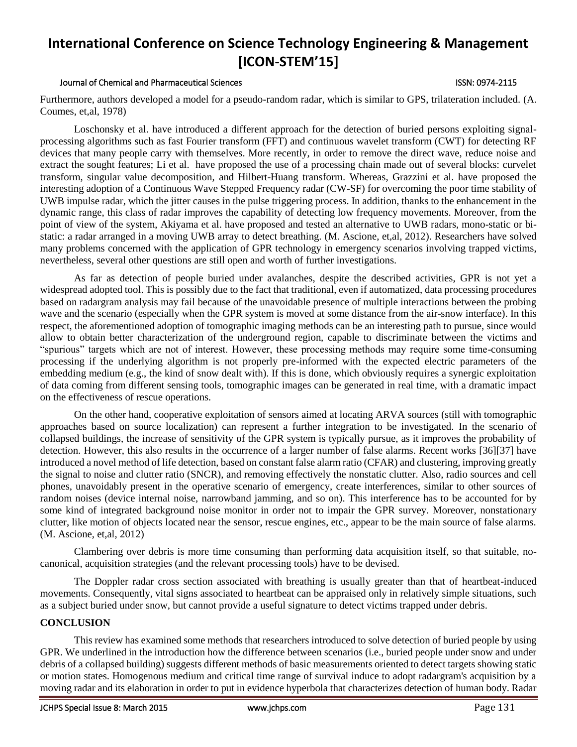#### Journal of Chemical and Pharmaceutical Sciences ISSN: 0974-2115

Furthermore, authors developed a model for a pseudo-random radar, which is similar to GPS, trilateration included. (A. Coumes, et,al, 1978)

Loschonsky et al. have introduced a different approach for the detection of buried persons exploiting signalprocessing algorithms such as fast Fourier transform (FFT) and continuous wavelet transform (CWT) for detecting RF devices that many people carry with themselves. More recently, in order to remove the direct wave, reduce noise and extract the sought features; Li et al. have proposed the use of a processing chain made out of several blocks: curvelet transform, singular value decomposition, and Hilbert-Huang transform. Whereas, Grazzini et al. have proposed the interesting adoption of a Continuous Wave Stepped Frequency radar (CW-SF) for overcoming the poor time stability of UWB impulse radar, which the jitter causes in the pulse triggering process. In addition, thanks to the enhancement in the dynamic range, this class of radar improves the capability of detecting low frequency movements. Moreover, from the point of view of the system, Akiyama et al. have proposed and tested an alternative to UWB radars, mono-static or bistatic: a radar arranged in a moving UWB array to detect breathing. (M. Ascione, et,al, 2012). Researchers have solved many problems concerned with the application of GPR technology in emergency scenarios involving trapped victims, nevertheless, several other questions are still open and worth of further investigations.

As far as detection of people buried under avalanches, despite the described activities, GPR is not yet a widespread adopted tool. This is possibly due to the fact that traditional, even if automatized, data processing procedures based on radargram analysis may fail because of the unavoidable presence of multiple interactions between the probing wave and the scenario (especially when the GPR system is moved at some distance from the air-snow interface). In this respect, the aforementioned adoption of tomographic imaging methods can be an interesting path to pursue, since would allow to obtain better characterization of the underground region, capable to discriminate between the victims and "spurious" targets which are not of interest. However, these processing methods may require some time-consuming processing if the underlying algorithm is not properly pre-informed with the expected electric parameters of the embedding medium (e.g., the kind of snow dealt with). If this is done, which obviously requires a synergic exploitation of data coming from different sensing tools, tomographic images can be generated in real time, with a dramatic impact on the effectiveness of rescue operations.

On the other hand, cooperative exploitation of sensors aimed at locating ARVA sources (still with tomographic approaches based on source localization) can represent a further integration to be investigated. In the scenario of collapsed buildings, the increase of sensitivity of the GPR system is typically pursue, as it improves the probability of detection. However, this also results in the occurrence of a larger number of false alarms. Recent works [36][37] have introduced a novel method of life detection, based on constant false alarm ratio (CFAR) and clustering, improving greatly the signal to noise and clutter ratio (SNCR), and removing effectively the nonstatic clutter. Also, radio sources and cell phones, unavoidably present in the operative scenario of emergency, create interferences, similar to other sources of random noises (device internal noise, narrowband jamming, and so on). This interference has to be accounted for by some kind of integrated background noise monitor in order not to impair the GPR survey. Moreover, nonstationary clutter, like motion of objects located near the sensor, rescue engines, etc., appear to be the main source of false alarms. (M. Ascione, et,al, 2012)

Clambering over debris is more time consuming than performing data acquisition itself, so that suitable, nocanonical, acquisition strategies (and the relevant processing tools) have to be devised.

The Doppler radar cross section associated with breathing is usually greater than that of heartbeat-induced movements. Consequently, vital signs associated to heartbeat can be appraised only in relatively simple situations, such as a subject buried under snow, but cannot provide a useful signature to detect victims trapped under debris.

## **CONCLUSION**

This review has examined some methods that researchers introduced to solve detection of buried people by using GPR. We underlined in the introduction how the difference between scenarios (i.e., buried people under snow and under debris of a collapsed building) suggests different methods of basic measurements oriented to detect targets showing static or motion states. Homogenous medium and critical time range of survival induce to adopt radargram's acquisition by a moving radar and its elaboration in order to put in evidence hyperbola that characterizes detection of human body. Radar